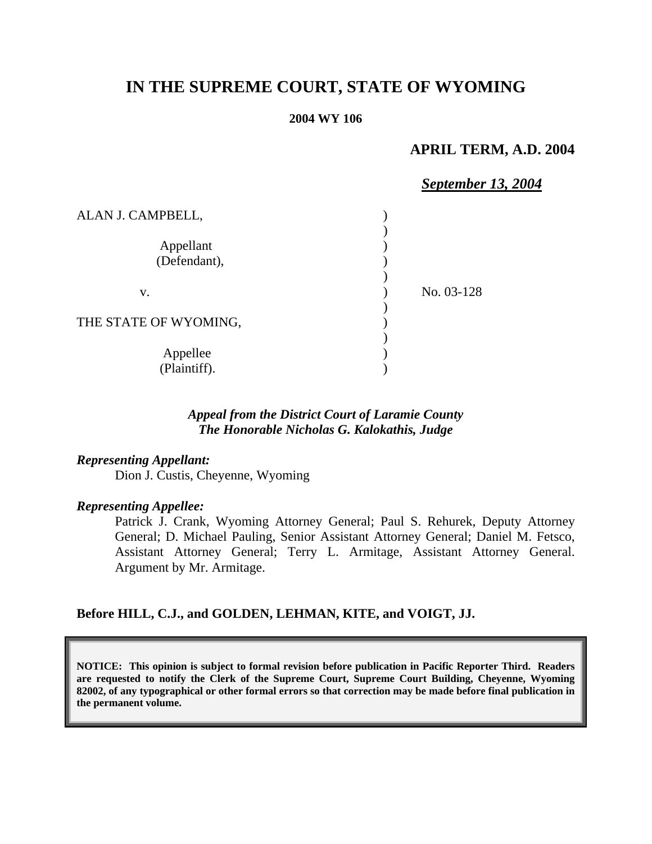# **IN THE SUPREME COURT, STATE OF WYOMING**

#### **2004 WY 106**

## **APRIL TERM, A.D. 2004**

## *September 13, 2004* ALAN J. CAMPBELL, ) ) Appellant (1) (Defendant), ) v. No. 03-128 ) THE STATE OF WYOMING, )

Appellee (b) (Plaintiff). )

## *Appeal from the District Court of Laramie County The Honorable Nicholas G. Kalokathis, Judge*

#### *Representing Appellant:*

Dion J. Custis, Cheyenne, Wyoming

#### *Representing Appellee:*

Patrick J. Crank, Wyoming Attorney General; Paul S. Rehurek, Deputy Attorney General; D. Michael Pauling, Senior Assistant Attorney General; Daniel M. Fetsco, Assistant Attorney General; Terry L. Armitage, Assistant Attorney General. Argument by Mr. Armitage.

#### **Before HILL, C.J., and GOLDEN, LEHMAN, KITE, and VOIGT, JJ.**

**NOTICE: This opinion is subject to formal revision before publication in Pacific Reporter Third. Readers are requested to notify the Clerk of the Supreme Court, Supreme Court Building, Cheyenne, Wyoming 82002, of any typographical or other formal errors so that correction may be made before final publication in the permanent volume.**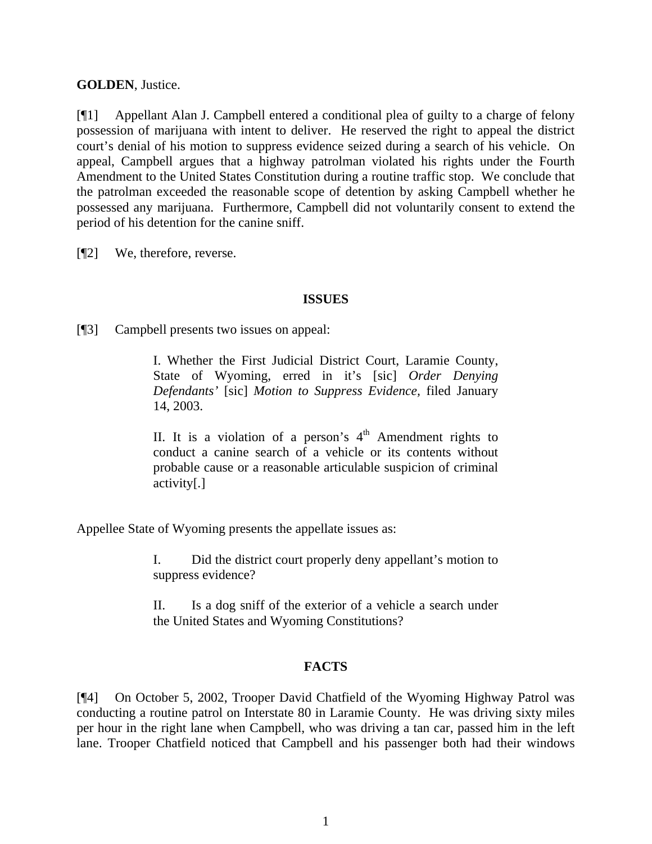## **GOLDEN**, Justice.

[¶1] Appellant Alan J. Campbell entered a conditional plea of guilty to a charge of felony possession of marijuana with intent to deliver. He reserved the right to appeal the district court's denial of his motion to suppress evidence seized during a search of his vehicle. On appeal, Campbell argues that a highway patrolman violated his rights under the Fourth Amendment to the United States Constitution during a routine traffic stop. We conclude that the patrolman exceeded the reasonable scope of detention by asking Campbell whether he possessed any marijuana. Furthermore, Campbell did not voluntarily consent to extend the period of his detention for the canine sniff.

[¶2] We, therefore, reverse.

#### **ISSUES**

[¶3] Campbell presents two issues on appeal:

I. Whether the First Judicial District Court, Laramie County, State of Wyoming, erred in it's [sic] *Order Denying Defendants'* [sic] *Motion to Suppress Evidence,* filed January 14, 2003.

II. It is a violation of a person's  $4<sup>th</sup>$  Amendment rights to conduct a canine search of a vehicle or its contents without probable cause or a reasonable articulable suspicion of criminal activity[.]

Appellee State of Wyoming presents the appellate issues as:

I. Did the district court properly deny appellant's motion to suppress evidence?

II. Is a dog sniff of the exterior of a vehicle a search under the United States and Wyoming Constitutions?

## **FACTS**

[¶4] On October 5, 2002, Trooper David Chatfield of the Wyoming Highway Patrol was conducting a routine patrol on Interstate 80 in Laramie County. He was driving sixty miles per hour in the right lane when Campbell, who was driving a tan car, passed him in the left lane. Trooper Chatfield noticed that Campbell and his passenger both had their windows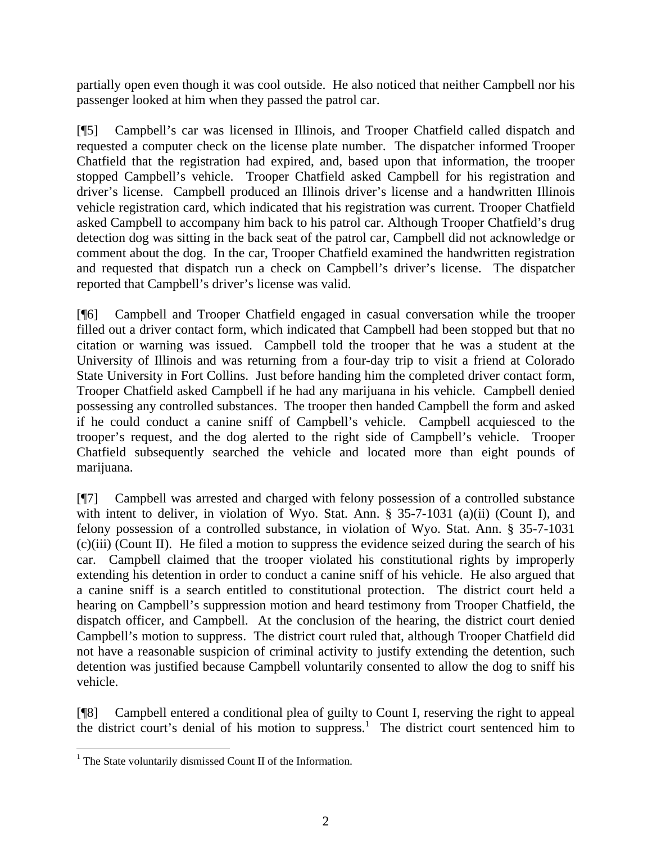partially open even though it was cool outside. He also noticed that neither Campbell nor his passenger looked at him when they passed the patrol car.

[¶5] Campbell's car was licensed in Illinois, and Trooper Chatfield called dispatch and requested a computer check on the license plate number. The dispatcher informed Trooper Chatfield that the registration had expired, and, based upon that information, the trooper stopped Campbell's vehicle. Trooper Chatfield asked Campbell for his registration and driver's license. Campbell produced an Illinois driver's license and a handwritten Illinois vehicle registration card, which indicated that his registration was current. Trooper Chatfield asked Campbell to accompany him back to his patrol car. Although Trooper Chatfield's drug detection dog was sitting in the back seat of the patrol car, Campbell did not acknowledge or comment about the dog. In the car, Trooper Chatfield examined the handwritten registration and requested that dispatch run a check on Campbell's driver's license. The dispatcher reported that Campbell's driver's license was valid.

[¶6] Campbell and Trooper Chatfield engaged in casual conversation while the trooper filled out a driver contact form, which indicated that Campbell had been stopped but that no citation or warning was issued. Campbell told the trooper that he was a student at the University of Illinois and was returning from a four-day trip to visit a friend at Colorado State University in Fort Collins. Just before handing him the completed driver contact form, Trooper Chatfield asked Campbell if he had any marijuana in his vehicle. Campbell denied possessing any controlled substances. The trooper then handed Campbell the form and asked if he could conduct a canine sniff of Campbell's vehicle. Campbell acquiesced to the trooper's request, and the dog alerted to the right side of Campbell's vehicle. Trooper Chatfield subsequently searched the vehicle and located more than eight pounds of marijuana.

[¶7] Campbell was arrested and charged with felony possession of a controlled substance with intent to deliver, in violation of Wyo. Stat. Ann. § 35-7-1031 (a)(ii) (Count I), and felony possession of a controlled substance, in violation of Wyo. Stat. Ann. § 35-7-1031 (c)(iii) (Count II). He filed a motion to suppress the evidence seized during the search of his car. Campbell claimed that the trooper violated his constitutional rights by improperly extending his detention in order to conduct a canine sniff of his vehicle. He also argued that a canine sniff is a search entitled to constitutional protection. The district court held a hearing on Campbell's suppression motion and heard testimony from Trooper Chatfield, the dispatch officer, and Campbell. At the conclusion of the hearing, the district court denied Campbell's motion to suppress. The district court ruled that, although Trooper Chatfield did not have a reasonable suspicion of criminal activity to justify extending the detention, such detention was justified because Campbell voluntarily consented to allow the dog to sniff his vehicle.

[¶8] Campbell entered a conditional plea of guilty to Count I, reserving the right to appeal the district court's denial of his motion to suppress.<sup>1</sup> The district court sentenced him to

 $\overline{a}$ 

<sup>&</sup>lt;sup>1</sup> The State voluntarily dismissed Count II of the Information.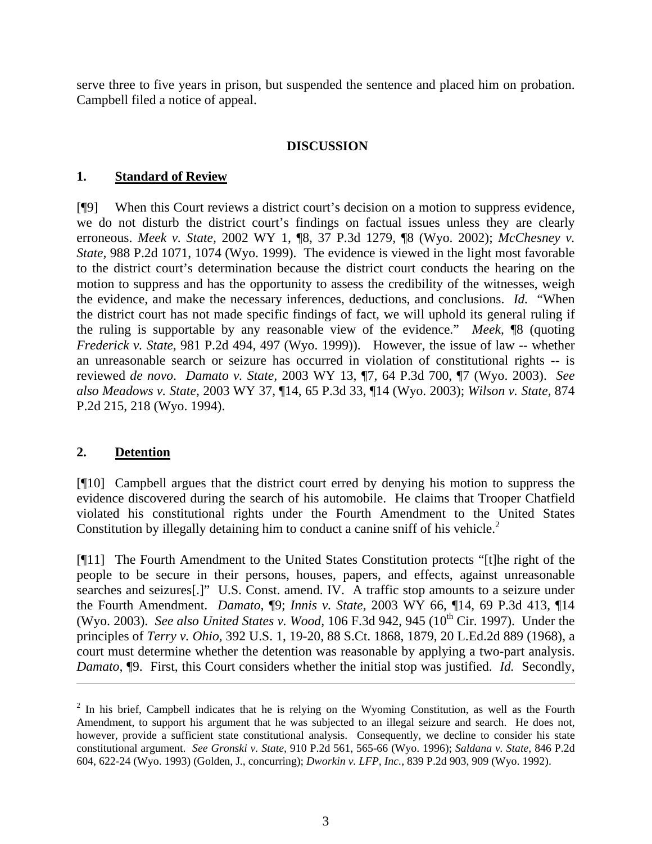serve three to five years in prison, but suspended the sentence and placed him on probation. Campbell filed a notice of appeal.

## **DISCUSSION**

#### **1. Standard of Review**

[¶9] When this Court reviews a district court's decision on a motion to suppress evidence, we do not disturb the district court's findings on factual issues unless they are clearly erroneous. *Meek v. State,* 2002 WY 1, ¶8, 37 P.3d 1279, ¶8 (Wyo. 2002); *McChesney v. State,* 988 P.2d 1071, 1074 (Wyo. 1999). The evidence is viewed in the light most favorable to the district court's determination because the district court conducts the hearing on the motion to suppress and has the opportunity to assess the credibility of the witnesses, weigh the evidence, and make the necessary inferences, deductions, and conclusions. *Id.* "When the district court has not made specific findings of fact, we will uphold its general ruling if the ruling is supportable by any reasonable view of the evidence." *Meek,* ¶8 (quoting *Frederick v. State*, 981 P.2d 494, 497 (Wyo. 1999)). However, the issue of law -- whether an unreasonable search or seizure has occurred in violation of constitutional rights -- is reviewed *de novo*. *Damato v. State,* 2003 WY 13, ¶7, 64 P.3d 700, ¶7 (Wyo. 2003). *See also Meadows v. State,* 2003 WY 37, ¶14, 65 P.3d 33, ¶14 (Wyo. 2003); *Wilson v. State,* 874 P.2d 215, 218 (Wyo. 1994).

## **2. Detention**

[¶10] Campbell argues that the district court erred by denying his motion to suppress the evidence discovered during the search of his automobile. He claims that Trooper Chatfield violated his constitutional rights under the Fourth Amendment to the United States Constitution by illegally detaining him to conduct a canine sniff of his vehicle.<sup>2</sup>

[¶11] The Fourth Amendment to the United States Constitution protects "[t]he right of the people to be secure in their persons, houses, papers, and effects, against unreasonable searches and seizures[.]" U.S. Const. amend. IV. A traffic stop amounts to a seizure under the Fourth Amendment. *Damato,* ¶9; *Innis v. State,* 2003 WY 66, ¶14, 69 P.3d 413, ¶14 (Wyo. 2003). *See also United States v. Wood,* 106 F.3d 942, 945 (10<sup>th</sup> Cir. 1997). Under the principles of *Terry v. Ohio,* 392 U.S. 1, 19-20, 88 S.Ct. 1868, 1879, 20 L.Ed.2d 889 (1968), a court must determine whether the detention was reasonable by applying a two-part analysis. *Damato,* ¶9. First, this Court considers whether the initial stop was justified. *Id.* Secondly,

 $2$  In his brief, Campbell indicates that he is relying on the Wyoming Constitution, as well as the Fourth Amendment, to support his argument that he was subjected to an illegal seizure and search. He does not, however, provide a sufficient state constitutional analysis. Consequently, we decline to consider his state constitutional argument. *See Gronski v. State,* 910 P.2d 561, 565-66 (Wyo. 1996); *Saldana v. State,* 846 P.2d 604, 622-24 (Wyo. 1993) (Golden, J., concurring); *Dworkin v. LFP, Inc.,* 839 P.2d 903, 909 (Wyo. 1992).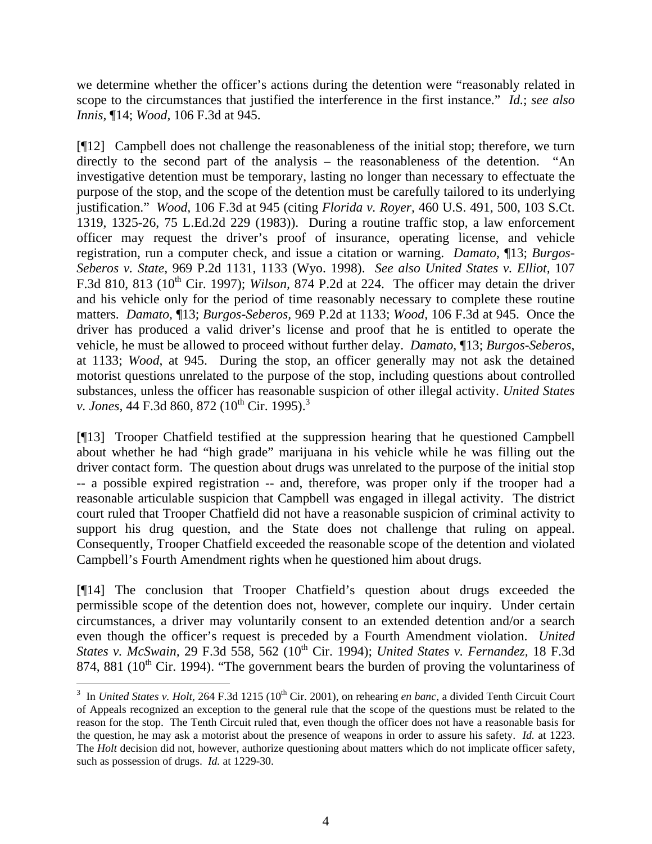we determine whether the officer's actions during the detention were "reasonably related in scope to the circumstances that justified the interference in the first instance." *Id.*; *see also Innis,* ¶14; *Wood,* 106 F.3d at 945.

[¶12] Campbell does not challenge the reasonableness of the initial stop; therefore, we turn directly to the second part of the analysis – the reasonableness of the detention. "An investigative detention must be temporary, lasting no longer than necessary to effectuate the purpose of the stop, and the scope of the detention must be carefully tailored to its underlying justification." *Wood,* 106 F.3d at 945 (citing *Florida v. Royer,* 460 U.S. 491, 500, 103 S.Ct. 1319, 1325-26, 75 L.Ed.2d 229 (1983)). During a routine traffic stop, a law enforcement officer may request the driver's proof of insurance, operating license, and vehicle registration, run a computer check, and issue a citation or warning. *Damato,* ¶13; *Burgos-Seberos v. State,* 969 P.2d 1131, 1133 (Wyo. 1998). *See also United States v. Elliot,* 107 F.3d 810, 813 (10<sup>th</sup> Cir. 1997); *Wilson*, 874 P.2d at 224. The officer may detain the driver and his vehicle only for the period of time reasonably necessary to complete these routine matters. *Damato,* ¶13; *Burgos-Seberos,* 969 P.2d at 1133; *Wood,* 106 F.3d at 945. Once the driver has produced a valid driver's license and proof that he is entitled to operate the vehicle, he must be allowed to proceed without further delay. *Damato*, ¶13; *Burgos-Seberos*, at 1133; *Wood*, at 945. During the stop, an officer generally may not ask the detained motorist questions unrelated to the purpose of the stop, including questions about controlled substances, unless the officer has reasonable suspicion of other illegal activity. *United States v. Jones,* 44 F.3d 860, 872 (10<sup>th</sup> Cir. 1995).<sup>3</sup>

[¶13] Trooper Chatfield testified at the suppression hearing that he questioned Campbell about whether he had "high grade" marijuana in his vehicle while he was filling out the driver contact form. The question about drugs was unrelated to the purpose of the initial stop -- a possible expired registration -- and, therefore, was proper only if the trooper had a reasonable articulable suspicion that Campbell was engaged in illegal activity. The district court ruled that Trooper Chatfield did not have a reasonable suspicion of criminal activity to support his drug question, and the State does not challenge that ruling on appeal. Consequently, Trooper Chatfield exceeded the reasonable scope of the detention and violated Campbell's Fourth Amendment rights when he questioned him about drugs.

[¶14] The conclusion that Trooper Chatfield's question about drugs exceeded the permissible scope of the detention does not, however, complete our inquiry. Under certain circumstances, a driver may voluntarily consent to an extended detention and/or a search even though the officer's request is preceded by a Fourth Amendment violation. *United States v. McSwain,* 29 F.3d 558, 562 (10th Cir. 1994); *United States v. Fernandez,* 18 F.3d 874, 881 ( $10^{th}$  Cir. 1994). "The government bears the burden of proving the voluntariness of

 $\overline{a}$ 

<sup>&</sup>lt;sup>3</sup> In *United States v. Holt,* 264 F.3d 1215 (10<sup>th</sup> Cir. 2001), on rehearing *en banc*, a divided Tenth Circuit Court of Appeals recognized an exception to the general rule that the scope of the questions must be related to the reason for the stop. The Tenth Circuit ruled that, even though the officer does not have a reasonable basis for the question, he may ask a motorist about the presence of weapons in order to assure his safety. *Id.* at 1223. The *Holt* decision did not, however, authorize questioning about matters which do not implicate officer safety, such as possession of drugs. *Id.* at 1229-30.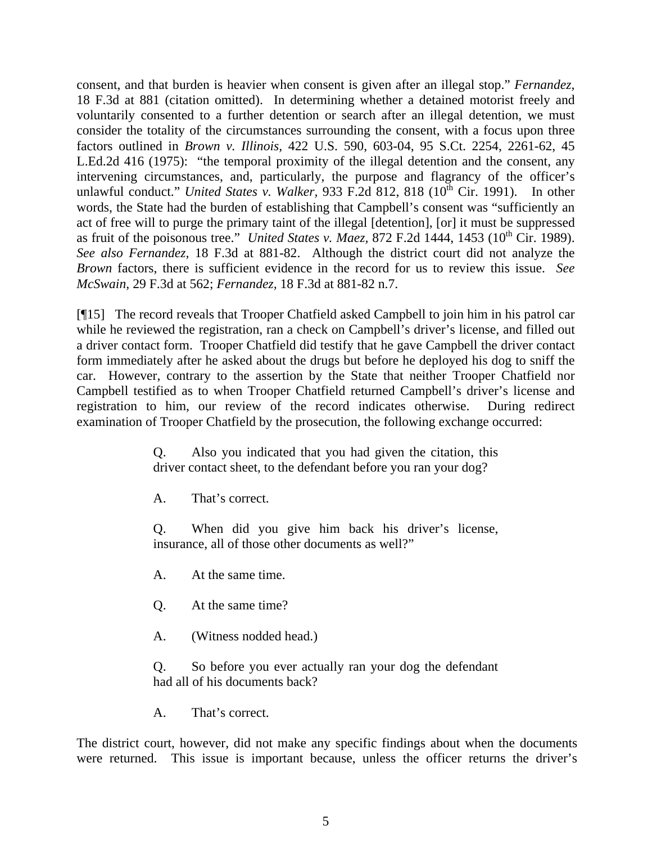consent, and that burden is heavier when consent is given after an illegal stop." *Fernandez,* 18 F.3d at 881 (citation omitted). In determining whether a detained motorist freely and voluntarily consented to a further detention or search after an illegal detention, we must consider the totality of the circumstances surrounding the consent, with a focus upon three factors outlined in *Brown v. Illinois,* 422 U.S. 590, 603-04, 95 S.Ct. 2254, 2261-62, 45 L.Ed.2d 416 (1975): "the temporal proximity of the illegal detention and the consent, any intervening circumstances, and, particularly, the purpose and flagrancy of the officer's unlawful conduct." *United States v. Walker*, 933 F.2d 812, 818 (10<sup>th</sup> Cir. 1991). In other words, the State had the burden of establishing that Campbell's consent was "sufficiently an act of free will to purge the primary taint of the illegal [detention], [or] it must be suppressed as fruit of the poisonous tree." *United States v. Maez, 872 F.2d 1444, 1453 (10<sup>th</sup> Cir. 1989). See also Fernandez,* 18 F.3d at 881-82. Although the district court did not analyze the *Brown* factors, there is sufficient evidence in the record for us to review this issue. *See McSwain,* 29 F.3d at 562; *Fernandez,* 18 F.3d at 881-82 n.7.

[¶15] The record reveals that Trooper Chatfield asked Campbell to join him in his patrol car while he reviewed the registration, ran a check on Campbell's driver's license, and filled out a driver contact form. Trooper Chatfield did testify that he gave Campbell the driver contact form immediately after he asked about the drugs but before he deployed his dog to sniff the car. However, contrary to the assertion by the State that neither Trooper Chatfield nor Campbell testified as to when Trooper Chatfield returned Campbell's driver's license and registration to him, our review of the record indicates otherwise. During redirect examination of Trooper Chatfield by the prosecution, the following exchange occurred:

> Q. Also you indicated that you had given the citation, this driver contact sheet, to the defendant before you ran your dog?

A. That's correct.

Q. When did you give him back his driver's license, insurance, all of those other documents as well?"

A. At the same time.

Q. At the same time?

A. (Witness nodded head.)

Q. So before you ever actually ran your dog the defendant had all of his documents back?

A. That's correct.

The district court, however, did not make any specific findings about when the documents were returned. This issue is important because, unless the officer returns the driver's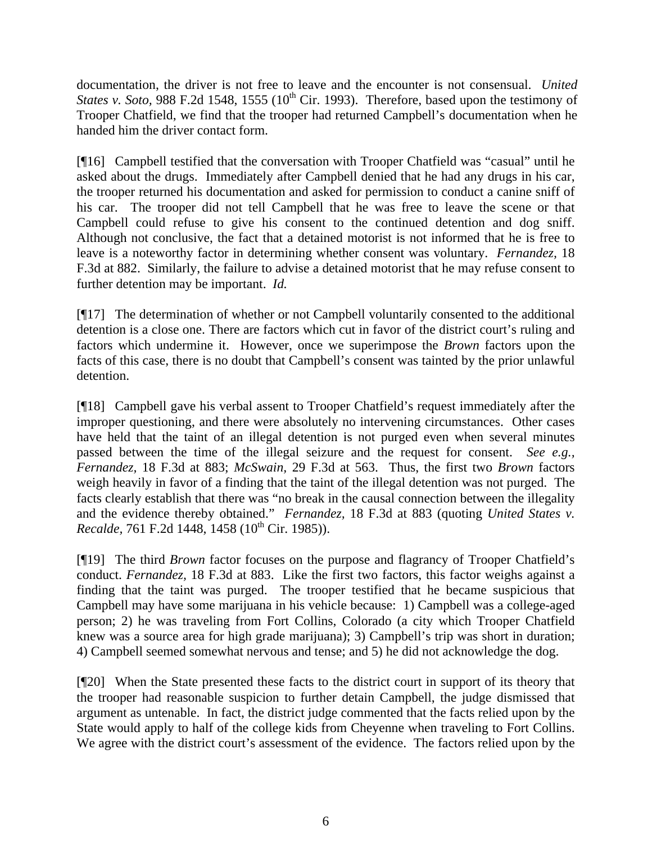documentation, the driver is not free to leave and the encounter is not consensual. *United States v. Soto,* 988 F.2d 1548, 1555 (10<sup>th</sup> Cir. 1993). Therefore, based upon the testimony of Trooper Chatfield, we find that the trooper had returned Campbell's documentation when he handed him the driver contact form.

[¶16] Campbell testified that the conversation with Trooper Chatfield was "casual" until he asked about the drugs. Immediately after Campbell denied that he had any drugs in his car, the trooper returned his documentation and asked for permission to conduct a canine sniff of his car. The trooper did not tell Campbell that he was free to leave the scene or that Campbell could refuse to give his consent to the continued detention and dog sniff. Although not conclusive, the fact that a detained motorist is not informed that he is free to leave is a noteworthy factor in determining whether consent was voluntary. *Fernandez,* 18 F.3d at 882. Similarly, the failure to advise a detained motorist that he may refuse consent to further detention may be important. *Id.* 

[¶17] The determination of whether or not Campbell voluntarily consented to the additional detention is a close one. There are factors which cut in favor of the district court's ruling and factors which undermine it. However, once we superimpose the *Brown* factors upon the facts of this case, there is no doubt that Campbell's consent was tainted by the prior unlawful detention.

[¶18] Campbell gave his verbal assent to Trooper Chatfield's request immediately after the improper questioning, and there were absolutely no intervening circumstances. Other cases have held that the taint of an illegal detention is not purged even when several minutes passed between the time of the illegal seizure and the request for consent. *See e.g., Fernandez,* 18 F.3d at 883; *McSwain,* 29 F.3d at 563. Thus, the first two *Brown* factors weigh heavily in favor of a finding that the taint of the illegal detention was not purged. The facts clearly establish that there was "no break in the causal connection between the illegality and the evidence thereby obtained." *Fernandez,* 18 F.3d at 883 (quoting *United States v. Recalde, 761 F.2d 1448, 1458 (10<sup>th</sup> Cir. 1985)).* 

[¶19] The third *Brown* factor focuses on the purpose and flagrancy of Trooper Chatfield's conduct. *Fernandez,* 18 F.3d at 883. Like the first two factors, this factor weighs against a finding that the taint was purged. The trooper testified that he became suspicious that Campbell may have some marijuana in his vehicle because: 1) Campbell was a college-aged person; 2) he was traveling from Fort Collins, Colorado (a city which Trooper Chatfield knew was a source area for high grade marijuana); 3) Campbell's trip was short in duration; 4) Campbell seemed somewhat nervous and tense; and 5) he did not acknowledge the dog.

[¶20] When the State presented these facts to the district court in support of its theory that the trooper had reasonable suspicion to further detain Campbell, the judge dismissed that argument as untenable. In fact, the district judge commented that the facts relied upon by the State would apply to half of the college kids from Cheyenne when traveling to Fort Collins. We agree with the district court's assessment of the evidence. The factors relied upon by the